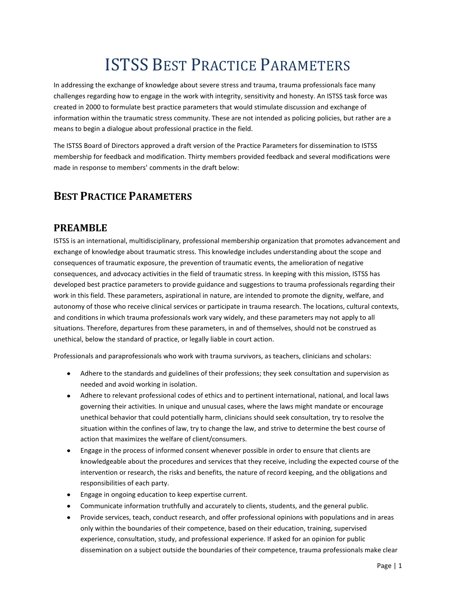# ISTSS BEST PRACTICE PARAMETERS

In addressing the exchange of knowledge about severe stress and trauma, trauma professionals face many challenges regarding how to engage in the work with integrity, sensitivity and honesty. An ISTSS task force was created in 2000 to formulate best practice parameters that would stimulate discussion and exchange of information within the traumatic stress community. These are not intended as policing policies, but rather are a means to begin a dialogue about professional practice in the field.

The ISTSS Board of Directors approved a draft version of the Practice Parameters for dissemination to ISTSS membership for feedback and modification. Thirty members provided feedback and several modifications were made in response to members' comments in the draft below:

## **BEST PRACTICE PARAMETERS**

#### **PREAMBLE**

ISTSS is an international, multidisciplinary, professional membership organization that promotes advancement and exchange of knowledge about traumatic stress. This knowledge includes understanding about the scope and consequences of traumatic exposure, the prevention of traumatic events, the amelioration of negative consequences, and advocacy activities in the field of traumatic stress. In keeping with this mission, ISTSS has developed best practice parameters to provide guidance and suggestions to trauma professionals regarding their work in this field. These parameters, aspirational in nature, are intended to promote the dignity, welfare, and autonomy of those who receive clinical services or participate in trauma research. The locations, cultural contexts, and conditions in which trauma professionals work vary widely, and these parameters may not apply to all situations. Therefore, departures from these parameters, in and of themselves, should not be construed as unethical, below the standard of practice, or legally liable in court action.

Professionals and paraprofessionals who work with trauma survivors, as teachers, clinicians and scholars:

- Adhere to the standards and guidelines of their professions; they seek consultation and supervision as needed and avoid working in isolation.
- Adhere to relevant professional codes of ethics and to pertinent international, national, and local laws governing their activities. In unique and unusual cases, where the laws might mandate or encourage unethical behavior that could potentially harm, clinicians should seek consultation, try to resolve the situation within the confines of law, try to change the law, and strive to determine the best course of action that maximizes the welfare of client/consumers.
- Engage in the process of informed consent whenever possible in order to ensure that clients are knowledgeable about the procedures and services that they receive, including the expected course of the intervention or research, the risks and benefits, the nature of record keeping, and the obligations and responsibilities of each party.
- Engage in ongoing education to keep expertise current.  $\bullet$
- Communicate information truthfully and accurately to clients, students, and the general public.
- Provide services, teach, conduct research, and offer professional opinions with populations and in areas  $\bullet$ only within the boundaries of their competence, based on their education, training, supervised experience, consultation, study, and professional experience. If asked for an opinion for public dissemination on a subject outside the boundaries of their competence, trauma professionals make clear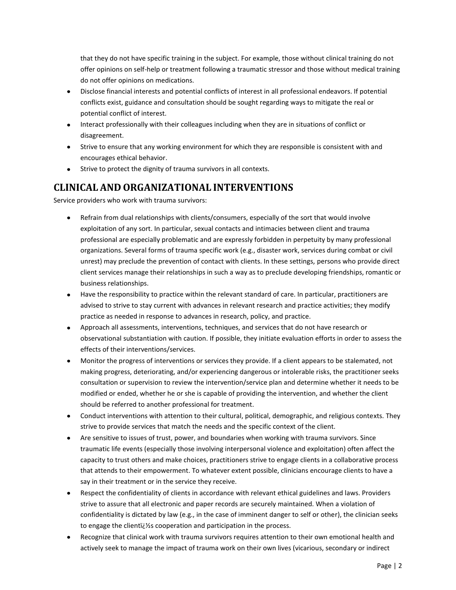that they do not have specific training in the subject. For example, those without clinical training do not offer opinions on self-help or treatment following a traumatic stressor and those without medical training do not offer opinions on medications.

- Disclose financial interests and potential conflicts of interest in all professional endeavors. If potential conflicts exist, guidance and consultation should be sought regarding ways to mitigate the real or potential conflict of interest.
- Interact professionally with their colleagues including when they are in situations of conflict or disagreement.
- Strive to ensure that any working environment for which they are responsible is consistent with and encourages ethical behavior.
- Strive to protect the dignity of trauma survivors in all contexts.

#### **CLINICAL AND ORGANIZATIONAL INTERVENTIONS**

Service providers who work with trauma survivors:

- Refrain from dual relationships with clients/consumers, especially of the sort that would involve exploitation of any sort. In particular, sexual contacts and intimacies between client and trauma professional are especially problematic and are expressly forbidden in perpetuity by many professional organizations. Several forms of trauma specific work (e.g., disaster work, services during combat or civil unrest) may preclude the prevention of contact with clients. In these settings, persons who provide direct client services manage their relationships in such a way as to preclude developing friendships, romantic or business relationships.
- Have the responsibility to practice within the relevant standard of care. In particular, practitioners are advised to strive to stay current with advances in relevant research and practice activities; they modify practice as needed in response to advances in research, policy, and practice.
- Approach all assessments, interventions, techniques, and services that do not have research or observational substantiation with caution. If possible, they initiate evaluation efforts in order to assess the effects of their interventions/services.
- Monitor the progress of interventions or services they provide. If a client appears to be stalemated, not making progress, deteriorating, and/or experiencing dangerous or intolerable risks, the practitioner seeks consultation or supervision to review the intervention/service plan and determine whether it needs to be modified or ended, whether he or she is capable of providing the intervention, and whether the client should be referred to another professional for treatment.
- Conduct interventions with attention to their cultural, political, demographic, and religious contexts. They strive to provide services that match the needs and the specific context of the client.
- Are sensitive to issues of trust, power, and boundaries when working with trauma survivors. Since traumatic life events (especially those involving interpersonal violence and exploitation) often affect the capacity to trust others and make choices, practitioners strive to engage clients in a collaborative process that attends to their empowerment. To whatever extent possible, clinicians encourage clients to have a say in their treatment or in the service they receive.
- Respect the confidentiality of clients in accordance with relevant ethical guidelines and laws. Providers strive to assure that all electronic and paper records are securely maintained. When a violation of confidentiality is dictated by law (e.g., in the case of imminent danger to self or other), the clinician seeks to engage the clienti<sup>y</sup>s cooperation and participation in the process.
- Recognize that clinical work with trauma survivors requires attention to their own emotional health and actively seek to manage the impact of trauma work on their own lives (vicarious, secondary or indirect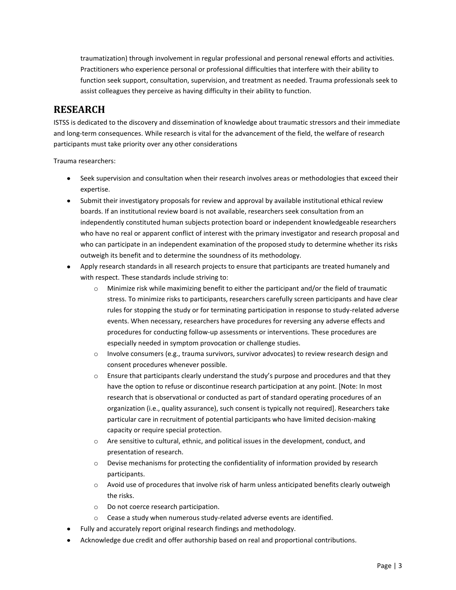traumatization) through involvement in regular professional and personal renewal efforts and activities. Practitioners who experience personal or professional difficulties that interfere with their ability to function seek support, consultation, supervision, and treatment as needed. Trauma professionals seek to assist colleagues they perceive as having difficulty in their ability to function.

### **RESEARCH**

ISTSS is dedicated to the discovery and dissemination of knowledge about traumatic stressors and their immediate and long-term consequences. While research is vital for the advancement of the field, the welfare of research participants must take priority over any other considerations

Trauma researchers:

- Seek supervision and consultation when their research involves areas or methodologies that exceed their expertise.
- Submit their investigatory proposals for review and approval by available institutional ethical review boards. If an institutional review board is not available, researchers seek consultation from an independently constituted human subjects protection board or independent knowledgeable researchers who have no real or apparent conflict of interest with the primary investigator and research proposal and who can participate in an independent examination of the proposed study to determine whether its risks outweigh its benefit and to determine the soundness of its methodology.
- Apply research standards in all research projects to ensure that participants are treated humanely and with respect. These standards include striving to:
	- $\circ$  Minimize risk while maximizing benefit to either the participant and/or the field of traumatic stress. To minimize risks to participants, researchers carefully screen participants and have clear rules for stopping the study or for terminating participation in response to study-related adverse events. When necessary, researchers have procedures for reversing any adverse effects and procedures for conducting follow-up assessments or interventions. These procedures are especially needed in symptom provocation or challenge studies.
	- $\circ$  Involve consumers (e.g., trauma survivors, survivor advocates) to review research design and consent procedures whenever possible.
	- $\circ$  Ensure that participants clearly understand the study's purpose and procedures and that they have the option to refuse or discontinue research participation at any point. [Note: In most research that is observational or conducted as part of standard operating procedures of an organization (i.e., quality assurance), such consent is typically not required]. Researchers take particular care in recruitment of potential participants who have limited decision-making capacity or require special protection.
	- $\circ$  Are sensitive to cultural, ethnic, and political issues in the development, conduct, and presentation of research.
	- $\circ$  Devise mechanisms for protecting the confidentiality of information provided by research participants.
	- $\circ$  Avoid use of procedures that involve risk of harm unless anticipated benefits clearly outweigh the risks.
	- o Do not coerce research participation.
	- o Cease a study when numerous study-related adverse events are identified.
- Fully and accurately report original research findings and methodology.
- Acknowledge due credit and offer authorship based on real and proportional contributions.